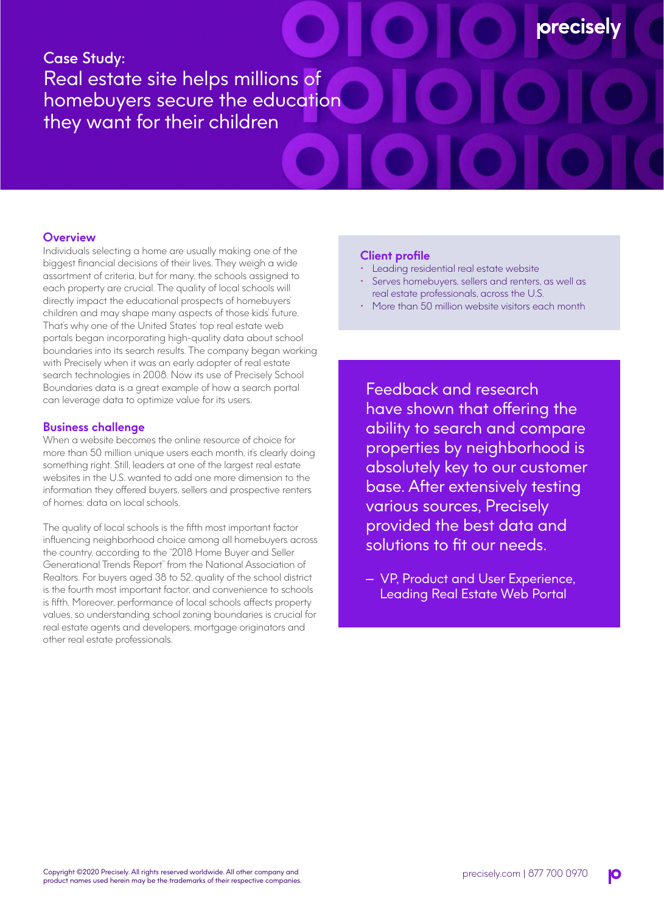# Case Study: Real estate site helps millions of homebuyers secure the education they want for their children

## **Overview**

Individuals selecting a home are usually making one of the biggest financial decisions of their lives. They weigh a wide assortment of criteria, but for many, the schools assigned to each property are crucial. The quality of local schools will directly impact the educational prospects of homebuyers' children and may shape many aspects of those kids' future. That's why one of the United States' top real estate web portals began incorporating high-quality data about school boundaries into its search results. The company began working with Precisely when it was an early adopter of real estate search technologies in 2008. Now its use of Precisely School Boundaries data is a great example of how a search portal can leverage data to optimize value for its users.

#### **Business challenge**

When a website becomes the online resource of choice for more than 50 million unique users each month, it's clearly doing something right. Still, leaders at one of the largest real estate websites in the U.S. wanted to add one more dimension to the information they offered buyers, sellers and prospective renters of homes: data on local schools.

The quality of local schools is the fifth most important factor influencing neighborhood choice among all homebuyers across the country, according to the "2018 Home Buyer and Seller Generational Trends Report" from the National Association of Realtors. For buyers aged 38 to 52, quality of the school district is the fourth most important factor, and convenience to schools is fifth. Moreover, performance of local schools affects property values, so understanding school zoning boundaries is crucial for real estate agents and developers, mortgage originators and other real estate professionals.

## **Client profile**

- Leading residential real estate website
- Serves homebuyers, sellers and renters, as well as real estate professionals, across the U.S.

**orecisel** 

• More than 50 million website visitors each month

Feedback and research have shown that offering the ability to search and compare properties by neighborhood is absolutely key to our customer base. After extensively testing various sources, Precisely provided the best data and solutions to fit our needs.

— VP, Product and User Experience, Leading Real Estate Web Portal